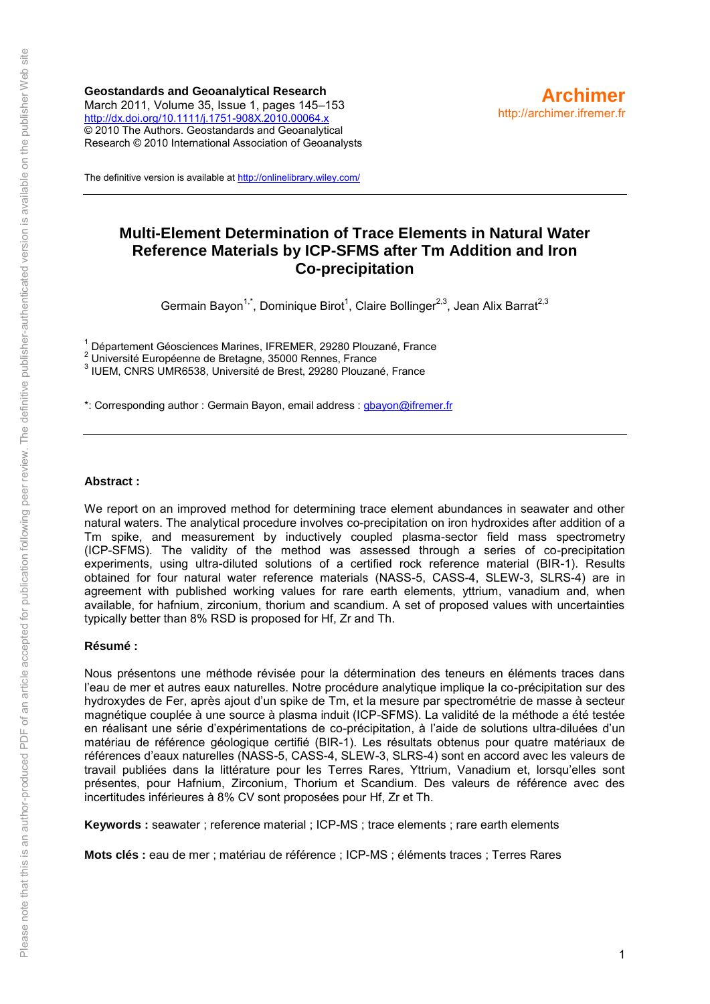**Geostandards and Geoanalytical Research** March 2011, Volume 35, Issue 1, pages 145–153 <http://dx.doi.org/10.1111/j.1751-908X.2010.00064.x> © 2010 The Authors. Geostandards and Geoanalytical Research © 2010 International Association of Geoanalysts



The definitive version is available a[t http://onlinelibrary.wiley.com/](http://onlinelibrary.wiley.com/)

# **Multi-Element Determination of Trace Elements in Natural Water Reference Materials by ICP-SFMS after Tm Addition and Iron Co-precipitation**

Germain Bayon<sup>1,\*</sup>, Dominique Birot<sup>1</sup>, Claire Bollinger<sup>2,3</sup>, Jean Alix Barrat<sup>2,3</sup>

1 Département Géosciences Marines, IFREMER, 29280 Plouzané, France

 $2<sup>2</sup>$  Université Européenne de Bretagne, 35000 Rennes, France

3 IUEM, CNRS UMR6538, Université de Brest, 29280 Plouzané, France

\*: Corresponding author : Germain Bayon, email address : [gbayon@ifremer.fr](mailto:gbayon@ifremer.fr)

#### **Abstract :**

We report on an improved method for determining trace element abundances in seawater and other natural waters. The analytical procedure involves co-precipitation on iron hydroxides after addition of a Tm spike, and measurement by inductively coupled plasma-sector field mass spectrometry (ICP-SFMS). The validity of the method was assessed through a series of co-precipitation experiments, using ultra-diluted solutions of a certified rock reference material (BIR-1). Results obtained for four natural water reference materials (NASS-5, CASS-4, SLEW-3, SLRS-4) are in agreement with published working values for rare earth elements, yttrium, vanadium and, when available, for hafnium, zirconium, thorium and scandium. A set of proposed values with uncertainties typically better than 8% RSD is proposed for Hf, Zr and Th.

#### **Résumé :**

Nous présentons une méthode révisée pour la détermination des teneurs en éléments traces dans l'eau de mer et autres eaux naturelles. Notre procédure analytique implique la co-précipitation sur des hydroxydes de Fer, après ajout d'un spike de Tm, et la mesure par spectrométrie de masse à secteur magnétique couplée à une source à plasma induit (ICP-SFMS). La validité de la méthode a été testée en réalisant une série d'expérimentations de co-précipitation, à l'aide de solutions ultra-diluées d'un matériau de référence géologique certifié (BIR-1). Les résultats obtenus pour quatre matériaux de références d'eaux naturelles (NASS-5, CASS-4, SLEW-3, SLRS-4) sont en accord avec les valeurs de travail publiées dans la littérature pour les Terres Rares, Yttrium, Vanadium et, lorsqu'elles sont présentes, pour Hafnium, Zirconium, Thorium et Scandium. Des valeurs de référence avec des incertitudes inférieures à 8% CV sont proposées pour Hf, Zr et Th.

**Keywords :** seawater ; reference material ; ICP-MS ; trace elements ; rare earth elements

**Mots clés :** eau de mer ; matériau de référence ; ICP-MS ; éléments traces ; Terres Rares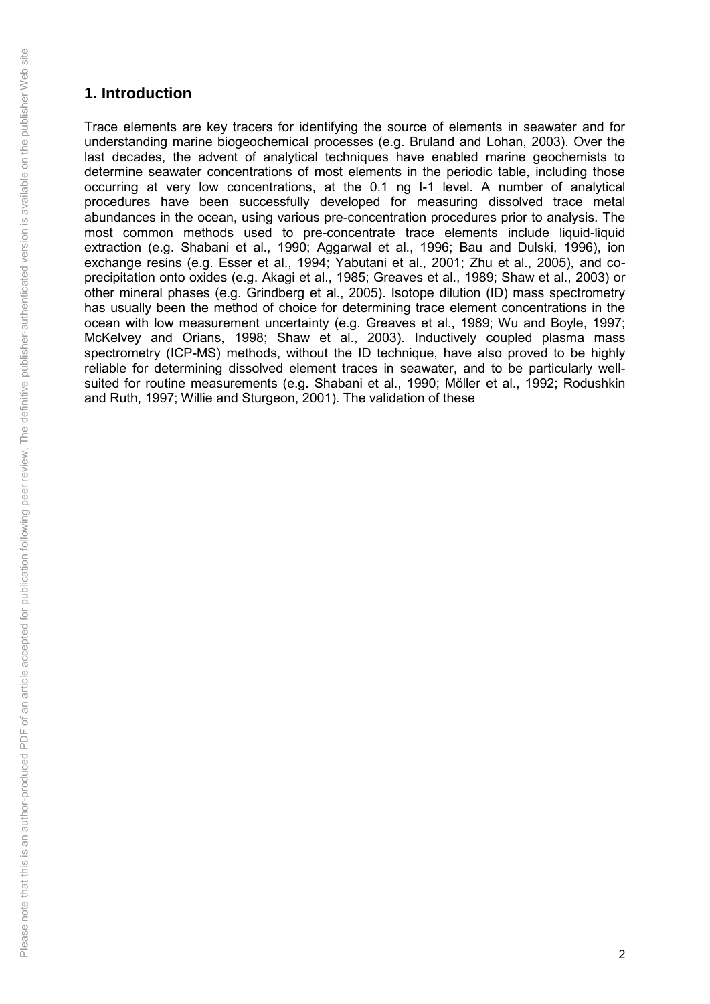# **1. Introduction**

Trace elements are key tracers for identifying the source of elements in seawater and for understanding marine biogeochemical processes (e.g. Bruland and Lohan, 2003). Over the last decades, the advent of analytical techniques have enabled marine geochemists to determine seawater concentrations of most elements in the periodic table, including those occurring at very low concentrations, at the 0.1 ng l-1 level. A number of analytical procedures have been successfully developed for measuring dissolved trace metal abundances in the ocean, using various pre-concentration procedures prior to analysis. The most common methods used to pre-concentrate trace elements include liquid-liquid extraction (e.g. Shabani et al., 1990; Aggarwal et al., 1996; Bau and Dulski, 1996), ion exchange resins (e.g. Esser et al., 1994; Yabutani et al., 2001; Zhu et al., 2005), and coprecipitation onto oxides (e.g. Akagi et al., 1985; Greaves et al., 1989; Shaw et al., 2003) or other mineral phases (e.g. Grindberg et al., 2005). Isotope dilution (ID) mass spectrometry has usually been the method of choice for determining trace element concentrations in the ocean with low measurement uncertainty (e.g. Greaves et al., 1989; Wu and Boyle, 1997; McKelvey and Orians, 1998; Shaw et al., 2003). Inductively coupled plasma mass spectrometry (ICP-MS) methods, without the ID technique, have also proved to be highly reliable for determining dissolved element traces in seawater, and to be particularly wellsuited for routine measurements (e.g. Shabani et al., 1990; Möller et al., 1992; Rodushkin and Ruth, 1997; Willie and Sturgeon, 2001). The validation of these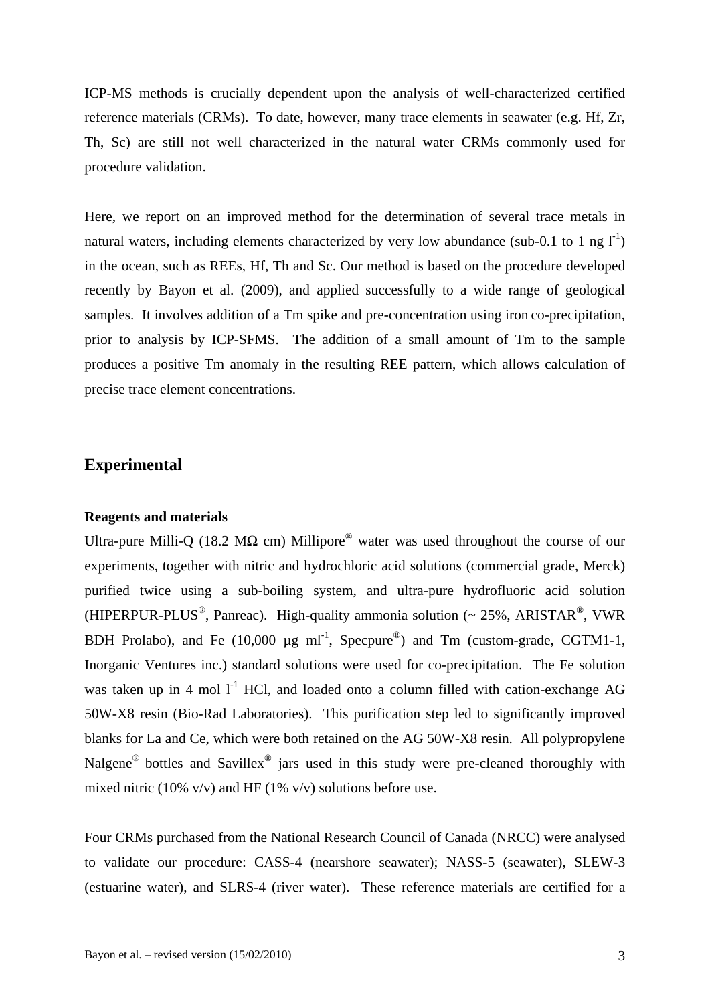ICP-MS methods is crucially dependent upon the analysis of well-characterized certified reference materials (CRMs). To date, however, many trace elements in seawater (e.g. Hf, Zr, Th, Sc) are still not well characterized in the natural water CRMs commonly used for procedure validation.

Here, we report on an improved method for the determination of several trace metals in natural waters, including elements characterized by very low abundance (sub-0.1 to 1 ng  $I<sup>-1</sup>$ ) in the ocean, such as REEs, Hf, Th and Sc. Our method is based on the procedure developed recently by Bayon et al. (2009), and applied successfully to a wide range of geological samples. It involves addition of a Tm spike and pre-concentration using iron co-precipitation, prior to analysis by ICP-SFMS. The addition of a small amount of Tm to the sample produces a positive Tm anomaly in the resulting REE pattern, which allows calculation of precise trace element concentrations.

## **Experimental**

## **Reagents and materials**

Ultra-pure Milli-Q (18.2 M $\Omega$  cm) Millipore<sup>®</sup> water was used throughout the course of our experiments, together with nitric and hydrochloric acid solutions (commercial grade, Merck) purified twice using a sub-boiling system, and ultra-pure hydrofluoric acid solution (HIPERPUR-PLUS<sup>®</sup>, Panreac). High-quality ammonia solution (~ 25%, ARISTAR<sup>®</sup>, VWR BDH Prolabo), and Fe  $(10,000 \text{ µg ml}^{-1}$ , Specpure<sup>®</sup>) and Tm (custom-grade, CGTM1-1, Inorganic Ventures inc.) standard solutions were used for co-precipitation. The Fe solution was taken up in 4 mol  $1^1$  HCl, and loaded onto a column filled with cation-exchange AG 50W-X8 resin (Bio-Rad Laboratories). This purification step led to significantly improved blanks for La and Ce, which were both retained on the AG 50W-X8 resin. All polypropylene Nalgene<sup>®</sup> bottles and Savillex<sup>®</sup> jars used in this study were pre-cleaned thoroughly with mixed nitric (10% v/v) and HF (1% v/v) solutions before use.

Four CRMs purchased from the National Research Council of Canada (NRCC) were analysed to validate our procedure: CASS-4 (nearshore seawater); NASS-5 (seawater), SLEW-3 (estuarine water), and SLRS-4 (river water). These reference materials are certified for a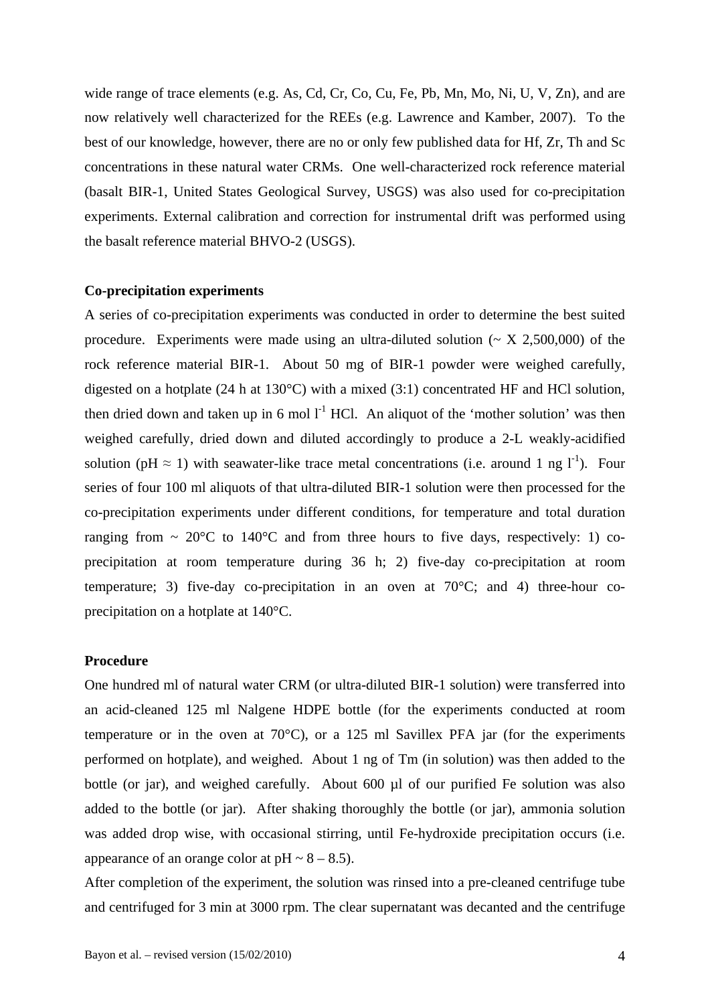wide range of trace elements (e.g. As, Cd, Cr, Co, Cu, Fe, Pb, Mn, Mo, Ni, U, V, Zn), and are now relatively well characterized for the REEs (e.g. Lawrence and Kamber, 2007). To the best of our knowledge, however, there are no or only few published data for Hf, Zr, Th and Sc concentrations in these natural water CRMs. One well-characterized rock reference material (basalt BIR-1, United States Geological Survey, USGS) was also used for co-precipitation experiments. External calibration and correction for instrumental drift was performed using the basalt reference material BHVO-2 (USGS).

### **Co-precipitation experiments**

A series of co-precipitation experiments was conducted in order to determine the best suited procedure. Experiments were made using an ultra-diluted solution ( $\sim X$  2,500,000) of the rock reference material BIR-1. About 50 mg of BIR-1 powder were weighed carefully, digested on a hotplate (24 h at 130°C) with a mixed (3:1) concentrated HF and HCl solution, then dried down and taken up in 6 mol  $I<sup>-1</sup>$  HCl. An aliquot of the 'mother solution' was then weighed carefully, dried down and diluted accordingly to produce a 2-L weakly-acidified solution (pH  $\approx$  1) with seawater-like trace metal concentrations (i.e. around 1 ng  $1^{-1}$ ). Four series of four 100 ml aliquots of that ultra-diluted BIR-1 solution were then processed for the co-precipitation experiments under different conditions, for temperature and total duration ranging from  $\sim 20^{\circ}$ C to 140°C and from three hours to five days, respectively: 1) coprecipitation at room temperature during 36 h; 2) five-day co-precipitation at room temperature; 3) five-day co-precipitation in an oven at 70°C; and 4) three-hour coprecipitation on a hotplate at 140°C.

## **Procedure**

One hundred ml of natural water CRM (or ultra-diluted BIR-1 solution) were transferred into an acid-cleaned 125 ml Nalgene HDPE bottle (for the experiments conducted at room temperature or in the oven at 70°C), or a 125 ml Savillex PFA jar (for the experiments performed on hotplate), and weighed. About 1 ng of Tm (in solution) was then added to the bottle (or jar), and weighed carefully. About 600 µl of our purified Fe solution was also added to the bottle (or jar). After shaking thoroughly the bottle (or jar), ammonia solution was added drop wise, with occasional stirring, until Fe-hydroxide precipitation occurs (i.e. appearance of an orange color at  $pH \sim 8 - 8.5$ ).

After completion of the experiment, the solution was rinsed into a pre-cleaned centrifuge tube and centrifuged for 3 min at 3000 rpm. The clear supernatant was decanted and the centrifuge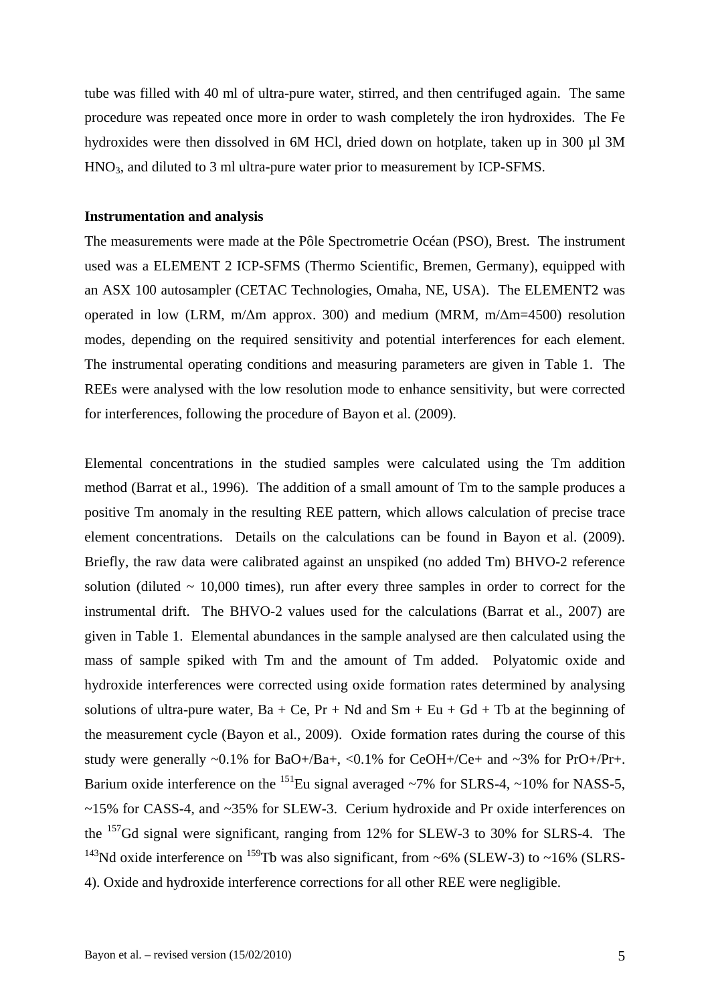tube was filled with 40 ml of ultra-pure water, stirred, and then centrifuged again. The same procedure was repeated once more in order to wash completely the iron hydroxides. The Fe hydroxides were then dissolved in 6M HCl, dried down on hotplate, taken up in 300 µl 3M HNO3, and diluted to 3 ml ultra-pure water prior to measurement by ICP-SFMS.

#### **Instrumentation and analysis**

The measurements were made at the Pôle Spectrometrie Océan (PSO), Brest. The instrument used was a ELEMENT 2 ICP-SFMS (Thermo Scientific, Bremen, Germany), equipped with an ASX 100 autosampler (CETAC Technologies, Omaha, NE, USA). The ELEMENT2 was operated in low (LRM, m/ $\Delta$ m approx. 300) and medium (MRM, m/ $\Delta$ m=4500) resolution modes, depending on the required sensitivity and potential interferences for each element. The instrumental operating conditions and measuring parameters are given in Table 1. The REEs were analysed with the low resolution mode to enhance sensitivity, but were corrected for interferences, following the procedure of Bayon et al. (2009).

Elemental concentrations in the studied samples were calculated using the Tm addition method (Barrat et al., 1996). The addition of a small amount of Tm to the sample produces a positive Tm anomaly in the resulting REE pattern, which allows calculation of precise trace element concentrations. Details on the calculations can be found in Bayon et al. (2009). Briefly, the raw data were calibrated against an unspiked (no added Tm) BHVO-2 reference solution (diluted  $\sim$  10,000 times), run after every three samples in order to correct for the instrumental drift. The BHVO-2 values used for the calculations (Barrat et al., 2007) are given in Table 1. Elemental abundances in the sample analysed are then calculated using the mass of sample spiked with Tm and the amount of Tm added. Polyatomic oxide and hydroxide interferences were corrected using oxide formation rates determined by analysing solutions of ultra-pure water,  $Ba + Ce$ ,  $Pr + Nd$  and  $Sm + Eu + Gd + Tb$  at the beginning of the measurement cycle (Bayon et al., 2009). Oxide formation rates during the course of this study were generally  $\sim 0.1\%$  for BaO+/Ba+,  $\lt 0.1\%$  for CeOH+/Ce+ and  $\sim 3\%$  for PrO+/Pr+. Barium oxide interference on the <sup>151</sup>Eu signal averaged ~7% for SLRS-4, ~10% for NASS-5, ~15% for CASS-4, and ~35% for SLEW-3. Cerium hydroxide and Pr oxide interferences on the 157Gd signal were significant, ranging from 12% for SLEW-3 to 30% for SLRS-4. The <sup>143</sup>Nd oxide interference on <sup>159</sup>Tb was also significant, from ~6% (SLEW-3) to ~16% (SLRS-4). Oxide and hydroxide interference corrections for all other REE were negligible.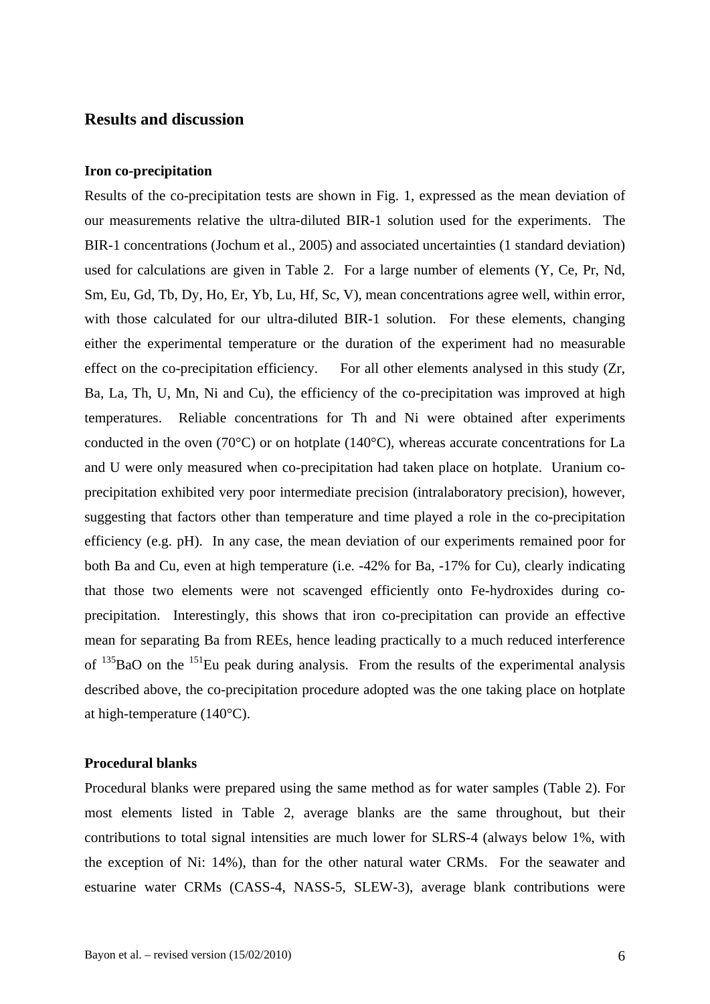## **Results and discussion**

#### **Iron co-precipitation**

Results of the co-precipitation tests are shown in Fig. 1, expressed as the mean deviation of our measurements relative the ultra-diluted BIR-1 solution used for the experiments. The BIR-1 concentrations (Jochum et al., 2005) and associated uncertainties (1 standard deviation) used for calculations are given in Table 2. For a large number of elements (Y, Ce, Pr, Nd, Sm, Eu, Gd, Tb, Dy, Ho, Er, Yb, Lu, Hf, Sc, V), mean concentrations agree well, within error, with those calculated for our ultra-diluted BIR-1 solution. For these elements, changing either the experimental temperature or the duration of the experiment had no measurable effect on the co-precipitation efficiency. For all other elements analysed in this study (Zr, Ba, La, Th, U, Mn, Ni and Cu), the efficiency of the co-precipitation was improved at high temperatures. Reliable concentrations for Th and Ni were obtained after experiments conducted in the oven (70°C) or on hotplate (140°C), whereas accurate concentrations for La and U were only measured when co-precipitation had taken place on hotplate. Uranium coprecipitation exhibited very poor intermediate precision (intralaboratory precision), however, suggesting that factors other than temperature and time played a role in the co-precipitation efficiency (e.g. pH). In any case, the mean deviation of our experiments remained poor for both Ba and Cu, even at high temperature (i.e. -42% for Ba, -17% for Cu), clearly indicating that those two elements were not scavenged efficiently onto Fe-hydroxides during coprecipitation. Interestingly, this shows that iron co-precipitation can provide an effective mean for separating Ba from REEs, hence leading practically to a much reduced interference of  $^{135}$ BaO on the  $^{151}$ Eu peak during analysis. From the results of the experimental analysis described above, the co-precipitation procedure adopted was the one taking place on hotplate at high-temperature (140°C).

#### **Procedural blanks**

Procedural blanks were prepared using the same method as for water samples (Table 2). For most elements listed in Table 2, average blanks are the same throughout, but their contributions to total signal intensities are much lower for SLRS-4 (always below 1%, with the exception of Ni: 14%), than for the other natural water CRMs. For the seawater and estuarine water CRMs (CASS-4, NASS-5, SLEW-3), average blank contributions were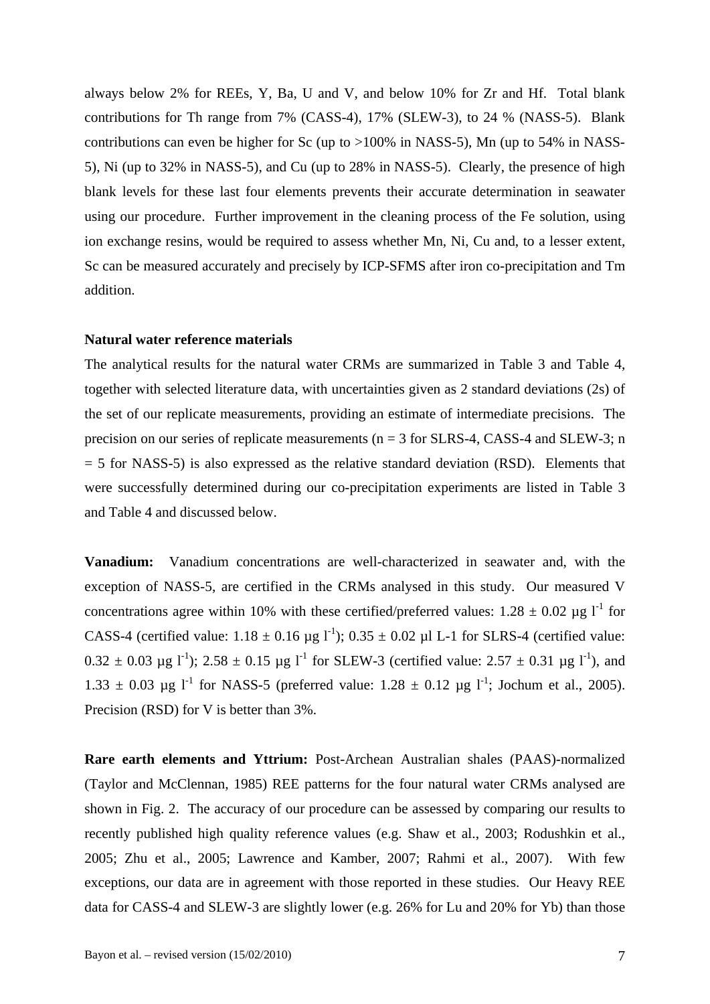always below 2% for REEs, Y, Ba, U and V, and below 10% for Zr and Hf. Total blank contributions for Th range from 7% (CASS-4), 17% (SLEW-3), to 24 % (NASS-5). Blank contributions can even be higher for Sc (up to >100% in NASS-5), Mn (up to 54% in NASS-5), Ni (up to 32% in NASS-5), and Cu (up to 28% in NASS-5). Clearly, the presence of high blank levels for these last four elements prevents their accurate determination in seawater using our procedure. Further improvement in the cleaning process of the Fe solution, using ion exchange resins, would be required to assess whether Mn, Ni, Cu and, to a lesser extent, Sc can be measured accurately and precisely by ICP-SFMS after iron co-precipitation and Tm addition.

#### **Natural water reference materials**

The analytical results for the natural water CRMs are summarized in Table 3 and Table 4, together with selected literature data, with uncertainties given as 2 standard deviations (2s) of the set of our replicate measurements, providing an estimate of intermediate precisions. The precision on our series of replicate measurements ( $n = 3$  for SLRS-4, CASS-4 and SLEW-3; n  $= 5$  for NASS-5) is also expressed as the relative standard deviation (RSD). Elements that were successfully determined during our co-precipitation experiments are listed in Table 3 and Table 4 and discussed below.

**Vanadium:** Vanadium concentrations are well-characterized in seawater and, with the exception of NASS-5, are certified in the CRMs analysed in this study. Our measured V concentrations agree within 10% with these certified/preferred values:  $1.28 \pm 0.02$  µg l<sup>-1</sup> for CASS-4 (certified value:  $1.18 \pm 0.16$  µg l<sup>-1</sup>);  $0.35 \pm 0.02$  µl L-1 for SLRS-4 (certified value:  $0.32 \pm 0.03$  ug l<sup>-1</sup>); 2.58  $\pm$  0.15 ug l<sup>-1</sup> for SLEW-3 (certified value: 2.57  $\pm$  0.31 ug l<sup>-1</sup>), and 1.33  $\pm$  0.03 µg l<sup>-1</sup> for NASS-5 (preferred value: 1.28  $\pm$  0.12 µg l<sup>-1</sup>; Jochum et al., 2005). Precision (RSD) for V is better than 3%.

**Rare earth elements and Yttrium:** Post-Archean Australian shales (PAAS)-normalized (Taylor and McClennan, 1985) REE patterns for the four natural water CRMs analysed are shown in Fig. 2. The accuracy of our procedure can be assessed by comparing our results to recently published high quality reference values (e.g. Shaw et al., 2003; Rodushkin et al., 2005; Zhu et al., 2005; Lawrence and Kamber, 2007; Rahmi et al., 2007). With few exceptions, our data are in agreement with those reported in these studies. Our Heavy REE data for CASS-4 and SLEW-3 are slightly lower (e.g. 26% for Lu and 20% for Yb) than those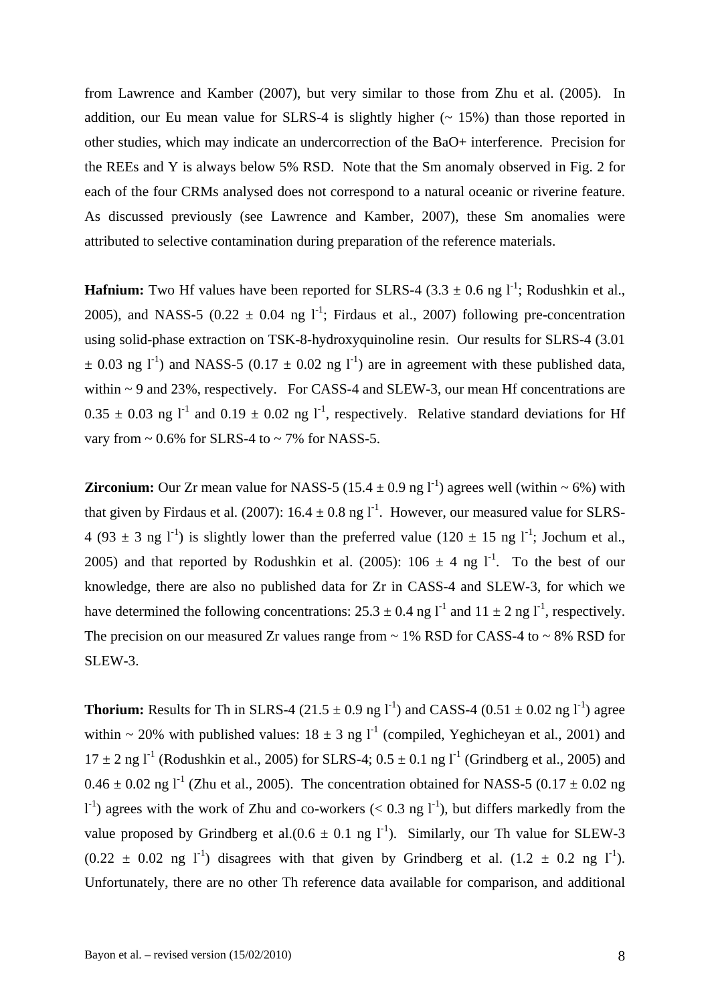from Lawrence and Kamber (2007), but very similar to those from Zhu et al. (2005). In addition, our Eu mean value for SLRS-4 is slightly higher  $($   $\sim$  15%) than those reported in other studies, which may indicate an undercorrection of the BaO+ interference. Precision for the REEs and Y is always below 5% RSD. Note that the Sm anomaly observed in Fig. 2 for each of the four CRMs analysed does not correspond to a natural oceanic or riverine feature. As discussed previously (see Lawrence and Kamber, 2007), these Sm anomalies were attributed to selective contamination during preparation of the reference materials.

**Hafnium:** Two Hf values have been reported for SLRS-4 (3.3  $\pm$  0.6 ng l<sup>-1</sup>; Rodushkin et al., 2005), and NASS-5 (0.22  $\pm$  0.04 ng l<sup>-1</sup>; Firdaus et al., 2007) following pre-concentration using solid-phase extraction on TSK-8-hydroxyquinoline resin. Our results for SLRS-4 (3.01  $\pm$  0.03 ng l<sup>-1</sup>) and NASS-5 (0.17  $\pm$  0.02 ng l<sup>-1</sup>) are in agreement with these published data, within ~ 9 and 23%, respectively. For CASS-4 and SLEW-3, our mean Hf concentrations are  $0.35 \pm 0.03$  ng l<sup>-1</sup> and  $0.19 \pm 0.02$  ng l<sup>-1</sup>, respectively. Relative standard deviations for Hf vary from  $\sim 0.6\%$  for SLRS-4 to  $\sim 7\%$  for NASS-5.

**Zirconium:** Our Zr mean value for NASS-5 (15.4  $\pm$  0.9 ng l<sup>-1</sup>) agrees well (within  $\sim$  6%) with that given by Firdaus et al. (2007):  $16.4 \pm 0.8$  ng l<sup>-1</sup>. However, our measured value for SLRS-4 (93  $\pm$  3 ng l<sup>-1</sup>) is slightly lower than the preferred value (120  $\pm$  15 ng l<sup>-1</sup>; Jochum et al., 2005) and that reported by Rodushkin et al. (2005):  $106 \pm 4$  ng l<sup>-1</sup>. To the best of our knowledge, there are also no published data for Zr in CASS-4 and SLEW-3, for which we have determined the following concentrations:  $25.3 \pm 0.4$  ng l<sup>-1</sup> and  $11 \pm 2$  ng l<sup>-1</sup>, respectively. The precision on our measured Zr values range from  $\sim 1\%$  RSD for CASS-4 to  $\sim 8\%$  RSD for SLEW-3.

**Thorium:** Results for Th in SLRS-4 (21.5  $\pm$  0.9 ng l<sup>-1</sup>) and CASS-4 (0.51  $\pm$  0.02 ng l<sup>-1</sup>) agree within ~ 20% with published values:  $18 \pm 3$  ng l<sup>-1</sup> (compiled, Yeghicheyan et al., 2001) and  $17 \pm 2$  ng l<sup>-1</sup> (Rodushkin et al., 2005) for SLRS-4;  $0.5 \pm 0.1$  ng l<sup>-1</sup> (Grindberg et al., 2005) and  $0.46 \pm 0.02$  ng l<sup>-1</sup> (Zhu et al., 2005). The concentration obtained for NASS-5 (0.17  $\pm$  0.02 ng  $1^{-1}$ ) agrees with the work of Zhu and co-workers (< 0.3 ng  $1^{-1}$ ), but differs markedly from the value proposed by Grindberg et al. $(0.6 \pm 0.1 \text{ ng } l^{-1})$ . Similarly, our Th value for SLEW-3  $(0.22 \pm 0.02 \text{ ng } l^{\text{-1}})$  disagrees with that given by Grindberg et al.  $(1.2 \pm 0.2 \text{ ng } l^{\text{-1}})$ . Unfortunately, there are no other Th reference data available for comparison, and additional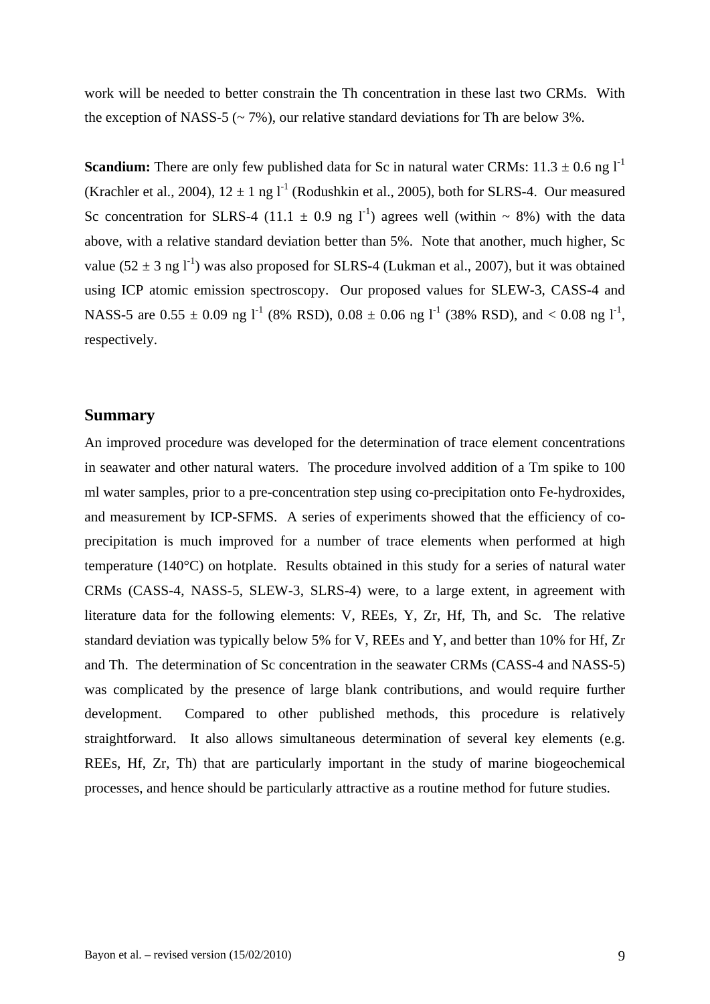work will be needed to better constrain the Th concentration in these last two CRMs. With the exception of NASS-5 ( $\sim$  7%), our relative standard deviations for Th are below 3%.

**Scandium:** There are only few published data for Sc in natural water CRMs:  $11.3 \pm 0.6$  ng  $1^{-1}$ (Krachler et al., 2004),  $12 \pm 1$  ng  $1^1$  (Rodushkin et al., 2005), both for SLRS-4. Our measured Sc concentration for SLRS-4 (11.1  $\pm$  0.9 ng l<sup>-1</sup>) agrees well (within  $\sim$  8%) with the data above, with a relative standard deviation better than 5%. Note that another, much higher, Sc value (52  $\pm$  3 ng l<sup>-1</sup>) was also proposed for SLRS-4 (Lukman et al., 2007), but it was obtained using ICP atomic emission spectroscopy. Our proposed values for SLEW-3, CASS-4 and NASS-5 are  $0.55 \pm 0.09$  ng l<sup>-1</sup> (8% RSD),  $0.08 \pm 0.06$  ng l<sup>-1</sup> (38% RSD), and < 0.08 ng l<sup>-1</sup>, respectively.

## **Summary**

An improved procedure was developed for the determination of trace element concentrations in seawater and other natural waters. The procedure involved addition of a Tm spike to 100 ml water samples, prior to a pre-concentration step using co-precipitation onto Fe-hydroxides, and measurement by ICP-SFMS. A series of experiments showed that the efficiency of coprecipitation is much improved for a number of trace elements when performed at high temperature (140°C) on hotplate. Results obtained in this study for a series of natural water CRMs (CASS-4, NASS-5, SLEW-3, SLRS-4) were, to a large extent, in agreement with literature data for the following elements: V, REEs, Y, Zr, Hf, Th, and Sc. The relative standard deviation was typically below 5% for V, REEs and Y, and better than 10% for Hf, Zr and Th. The determination of Sc concentration in the seawater CRMs (CASS-4 and NASS-5) was complicated by the presence of large blank contributions, and would require further development. Compared to other published methods, this procedure is relatively straightforward. It also allows simultaneous determination of several key elements (e.g. REEs, Hf, Zr, Th) that are particularly important in the study of marine biogeochemical processes, and hence should be particularly attractive as a routine method for future studies.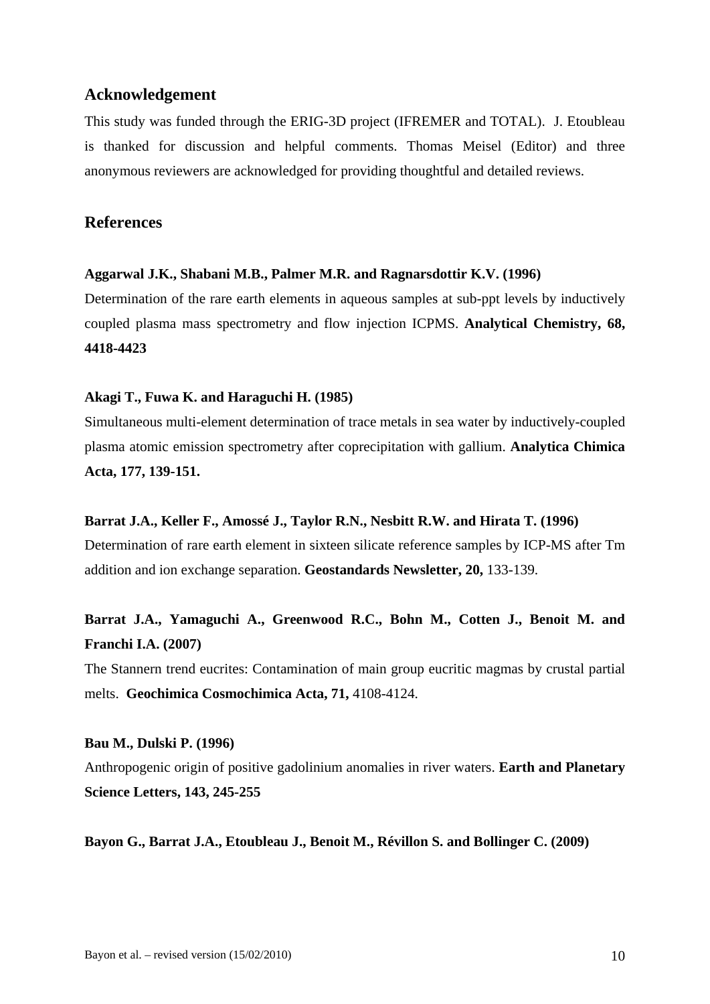# **Acknowledgement**

This study was funded through the ERIG-3D project (IFREMER and TOTAL). J. Etoubleau is thanked for discussion and helpful comments. Thomas Meisel (Editor) and three anonymous reviewers are acknowledged for providing thoughtful and detailed reviews.

## **References**

## **Aggarwal J.K., Shabani M.B., Palmer M.R. and Ragnarsdottir K.V. (1996)**

Determination of the rare earth elements in aqueous samples at sub-ppt levels by inductively coupled plasma mass spectrometry and flow injection ICPMS. **Analytical Chemistry, 68, 4418-4423**

## **Akagi T., Fuwa K. and Haraguchi H. (1985)**

Simultaneous multi-element determination of trace metals in sea water by inductively-coupled plasma atomic emission spectrometry after coprecipitation with gallium. **Analytica Chimica Acta, 177, 139-151.**

## **Barrat J.A., Keller F., Amossé J., Taylor R.N., Nesbitt R.W. and Hirata T. (1996)**

Determination of rare earth element in sixteen silicate reference samples by ICP-MS after Tm addition and ion exchange separation. **Geostandards Newsletter, 20,** 133-139.

# **Barrat J.A., Yamaguchi A., Greenwood R.C., Bohn M., Cotten J., Benoit M. and Franchi I.A. (2007)**

The Stannern trend eucrites: Contamination of main group eucritic magmas by crustal partial melts. **Geochimica Cosmochimica Acta, 71,** 4108-4124.

## **Bau M., Dulski P. (1996)**

Anthropogenic origin of positive gadolinium anomalies in river waters. **Earth and Planetary Science Letters, 143, 245-255** 

**Bayon G., Barrat J.A., Etoubleau J., Benoit M., Révillon S. and Bollinger C. (2009)**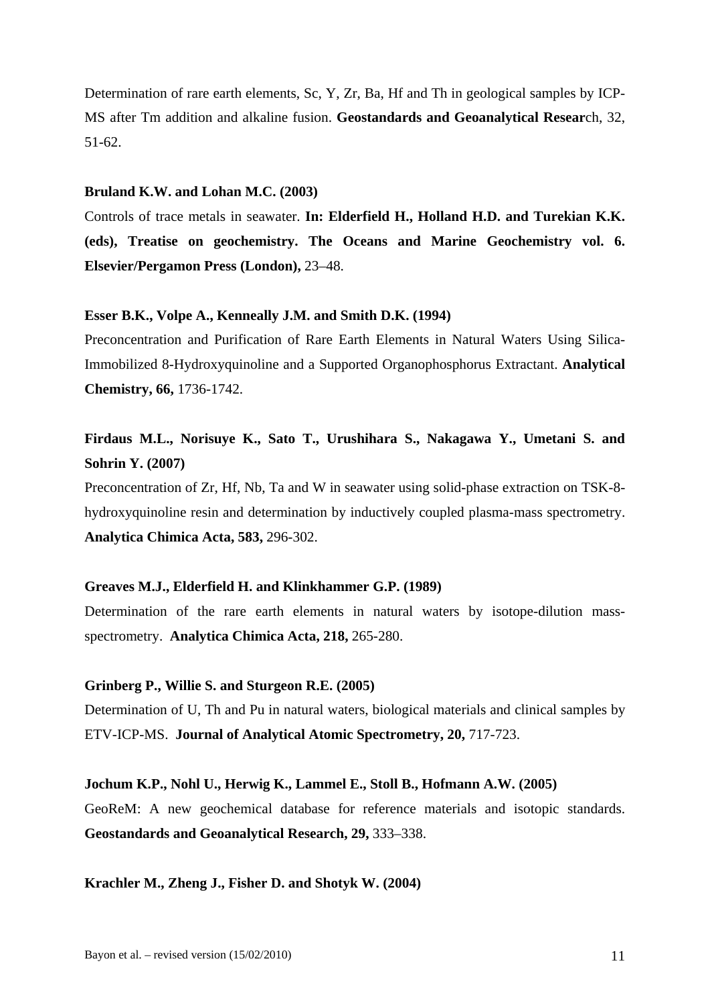Determination of rare earth elements, Sc, Y, Zr, Ba, Hf and Th in geological samples by ICP-MS after Tm addition and alkaline fusion. **Geostandards and Geoanalytical Resear**ch, 32, 51-62.

#### **Bruland K.W. and Lohan M.C. (2003)**

Controls of trace metals in seawater. **In: Elderfield H., Holland H.D. and Turekian K.K. (eds), Treatise on geochemistry. The Oceans and Marine Geochemistry vol. 6. Elsevier/Pergamon Press (London),** 23–48.

#### **Esser B.K., Volpe A., Kenneally J.M. and Smith D.K. (1994)**

Preconcentration and Purification of Rare Earth Elements in Natural Waters Using Silica-Immobilized 8-Hydroxyquinoline and a Supported Organophosphorus Extractant. **Analytical Chemistry, 66,** 1736-1742.

# **Firdaus M.L., Norisuye K., Sato T., Urushihara S., Nakagawa Y., Umetani S. and Sohrin Y. (2007)**

Preconcentration of Zr, Hf, Nb, Ta and W in seawater using solid-phase extraction on TSK-8 hydroxyquinoline resin and determination by inductively coupled plasma-mass spectrometry. **Analytica Chimica Acta, 583,** 296-302.

#### **Greaves M.J., Elderfield H. and Klinkhammer G.P. (1989)**

Determination of the rare earth elements in natural waters by isotope-dilution massspectrometry. **Analytica Chimica Acta, 218,** 265-280.

#### **Grinberg P., Willie S. and Sturgeon R.E. (2005)**

Determination of U, Th and Pu in natural waters, biological materials and clinical samples by ETV-ICP-MS. **Journal of Analytical Atomic Spectrometry, 20,** 717-723.

#### **Jochum K.P., Nohl U., Herwig K., Lammel E., Stoll B., Hofmann A.W. (2005)**

GeoReM: A new geochemical database for reference materials and isotopic standards. **Geostandards and Geoanalytical Research, 29,** 333–338.

**Krachler M., Zheng J., Fisher D. and Shotyk W. (2004)**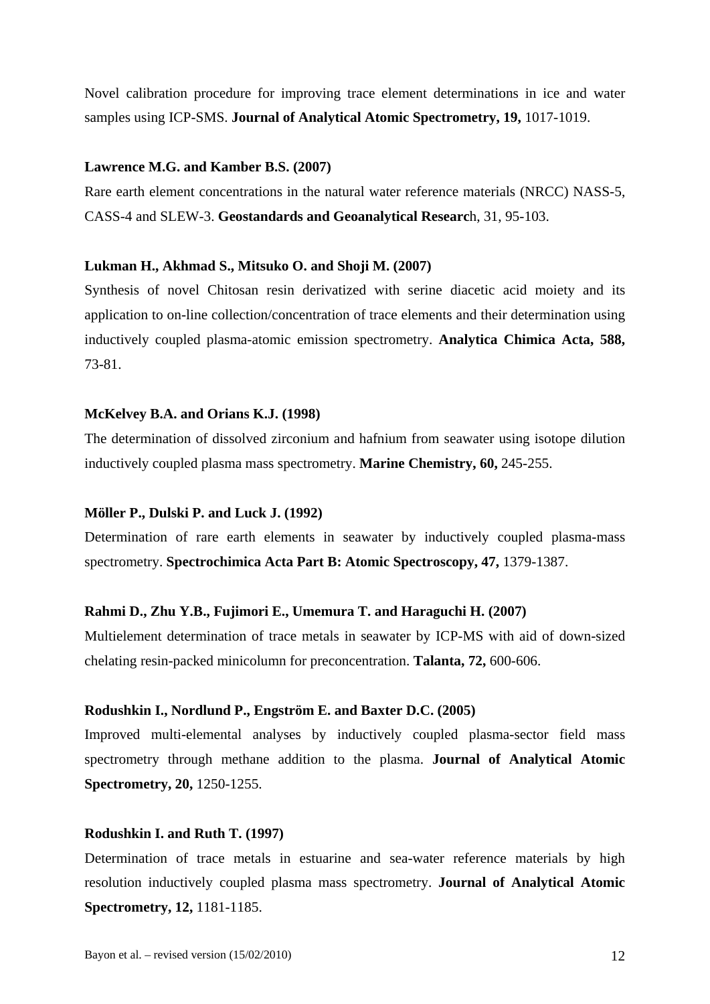Novel calibration procedure for improving trace element determinations in ice and water samples using ICP-SMS. **Journal of Analytical Atomic Spectrometry, 19,** 1017-1019.

#### **Lawrence M.G. and Kamber B.S. (2007)**

Rare earth element concentrations in the natural water reference materials (NRCC) NASS-5, CASS-4 and SLEW-3. **Geostandards and Geoanalytical Researc**h, 31, 95-103.

### **Lukman H., Akhmad S., Mitsuko O. and Shoji M. (2007)**

Synthesis of novel Chitosan resin derivatized with serine diacetic acid moiety and its application to on-line collection/concentration of trace elements and their determination using inductively coupled plasma-atomic emission spectrometry. **Analytica Chimica Acta, 588,**  73-81.

### **McKelvey B.A. and Orians K.J. (1998)**

The determination of dissolved zirconium and hafnium from seawater using isotope dilution inductively coupled plasma mass spectrometry. **Marine Chemistry, 60,** 245-255.

## **Möller P., Dulski P. and Luck J. (1992)**

Determination of rare earth elements in seawater by inductively coupled plasma-mass spectrometry. **Spectrochimica Acta Part B: Atomic Spectroscopy, 47,** 1379-1387.

## **Rahmi D., Zhu Y.B., Fujimori E., Umemura T. and Haraguchi H. (2007)**

Multielement determination of trace metals in seawater by ICP-MS with aid of down-sized chelating resin-packed minicolumn for preconcentration. **Talanta, 72,** 600-606.

## **Rodushkin I., Nordlund P., Engström E. and Baxter D.C. (2005)**

Improved multi-elemental analyses by inductively coupled plasma-sector field mass spectrometry through methane addition to the plasma. **Journal of Analytical Atomic Spectrometry, 20,** 1250-1255.

#### **Rodushkin I. and Ruth T. (1997)**

Determination of trace metals in estuarine and sea-water reference materials by high resolution inductively coupled plasma mass spectrometry. **Journal of Analytical Atomic Spectrometry, 12,** 1181-1185.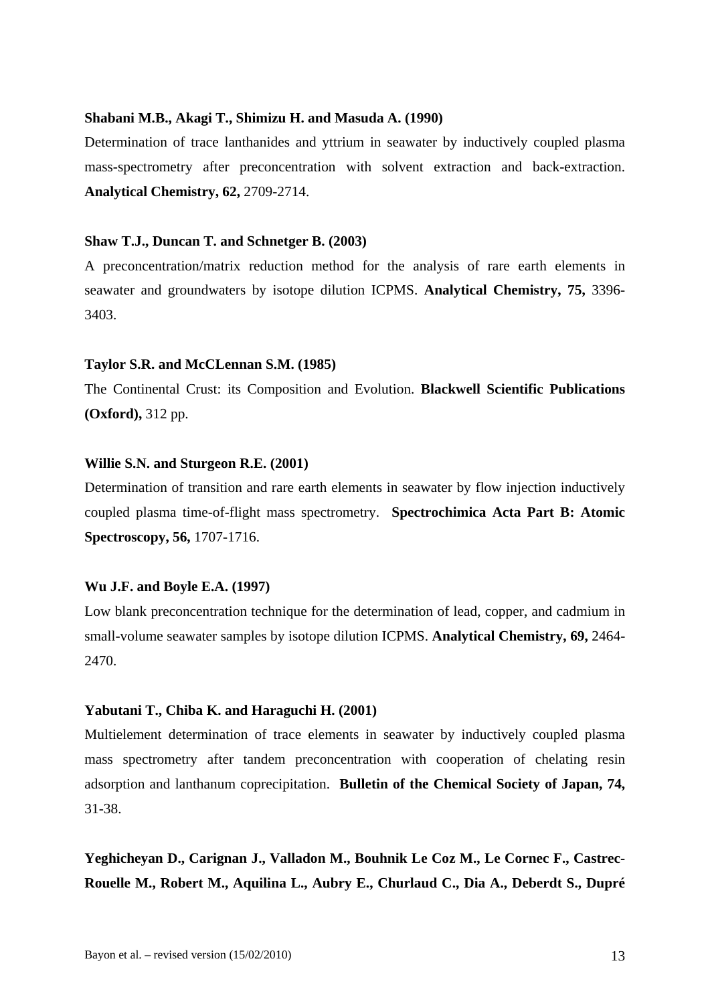#### **Shabani M.B., Akagi T., Shimizu H. and Masuda A. (1990)**

Determination of trace lanthanides and yttrium in seawater by inductively coupled plasma mass-spectrometry after preconcentration with solvent extraction and back-extraction. **Analytical Chemistry, 62,** 2709-2714.

#### **Shaw T.J., Duncan T. and Schnetger B. (2003)**

A preconcentration/matrix reduction method for the analysis of rare earth elements in seawater and groundwaters by isotope dilution ICPMS. **Analytical Chemistry, 75,** 3396- 3403.

#### **Taylor S.R. and McCLennan S.M. (1985)**

The Continental Crust: its Composition and Evolution. **Blackwell Scientific Publications (Oxford),** 312 pp.

## **Willie S.N. and Sturgeon R.E. (2001)**

Determination of transition and rare earth elements in seawater by flow injection inductively coupled plasma time-of-flight mass spectrometry. **Spectrochimica Acta Part B: Atomic Spectroscopy, 56,** 1707-1716.

#### **Wu J.F. and Boyle E.A. (1997)**

Low blank preconcentration technique for the determination of lead, copper, and cadmium in small-volume seawater samples by isotope dilution ICPMS. **Analytical Chemistry, 69,** 2464- 2470.

## **Yabutani T., Chiba K. and Haraguchi H. (2001)**

Multielement determination of trace elements in seawater by inductively coupled plasma mass spectrometry after tandem preconcentration with cooperation of chelating resin adsorption and lanthanum coprecipitation. **Bulletin of the Chemical Society of Japan, 74,** 31-38.

**Yeghicheyan D., Carignan J., Valladon M., Bouhnik Le Coz M., Le Cornec F., Castrec-Rouelle M., Robert M., Aquilina L., Aubry E., Churlaud C., Dia A., Deberdt S., Dupré**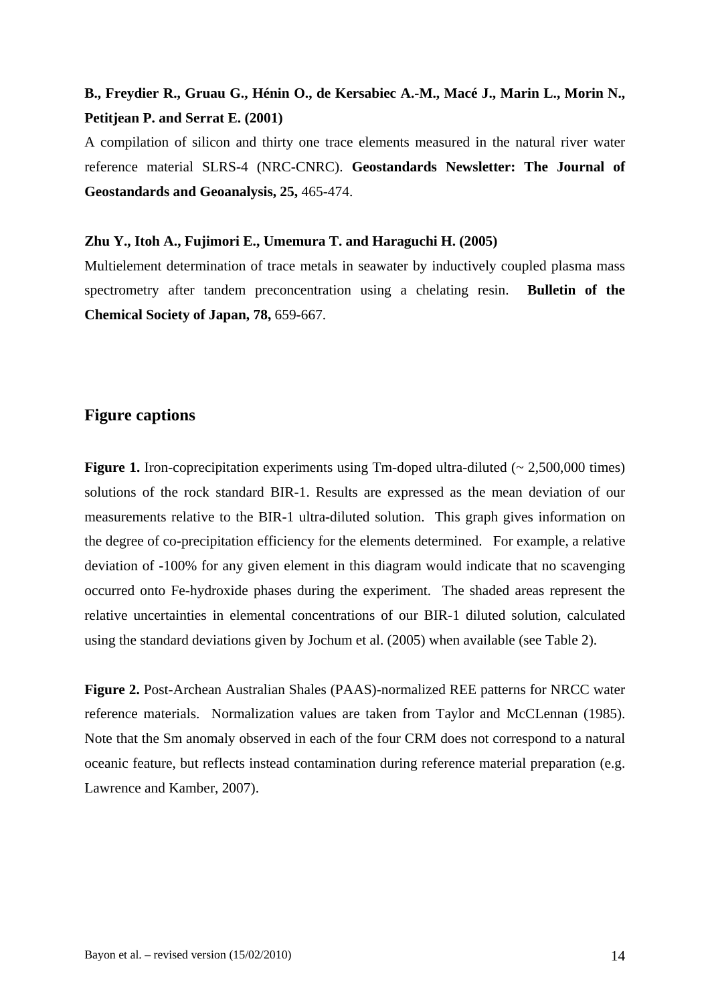# **B., Freydier R., Gruau G., Hénin O., de Kersabiec A.-M., Macé J., Marin L., Morin N., Petitjean P. and Serrat E. (2001)**

A compilation of silicon and thirty one trace elements measured in the natural river water reference material SLRS-4 (NRC-CNRC). **Geostandards Newsletter: The Journal of Geostandards and Geoanalysis, 25,** 465-474.

#### **Zhu Y., Itoh A., Fujimori E., Umemura T. and Haraguchi H. (2005)**

Multielement determination of trace metals in seawater by inductively coupled plasma mass spectrometry after tandem preconcentration using a chelating resin. **Bulletin of the Chemical Society of Japan, 78,** 659-667.

## **Figure captions**

**Figure 1.** Iron-coprecipitation experiments using Tm-doped ultra-diluted ( $\sim 2.500,000$  times) solutions of the rock standard BIR-1. Results are expressed as the mean deviation of our measurements relative to the BIR-1 ultra-diluted solution. This graph gives information on the degree of co-precipitation efficiency for the elements determined. For example, a relative deviation of -100% for any given element in this diagram would indicate that no scavenging occurred onto Fe-hydroxide phases during the experiment. The shaded areas represent the relative uncertainties in elemental concentrations of our BIR-1 diluted solution, calculated using the standard deviations given by Jochum et al. (2005) when available (see Table 2).

**Figure 2.** Post-Archean Australian Shales (PAAS)-normalized REE patterns for NRCC water reference materials. Normalization values are taken from Taylor and McCLennan (1985). Note that the Sm anomaly observed in each of the four CRM does not correspond to a natural oceanic feature, but reflects instead contamination during reference material preparation (e.g. Lawrence and Kamber, 2007).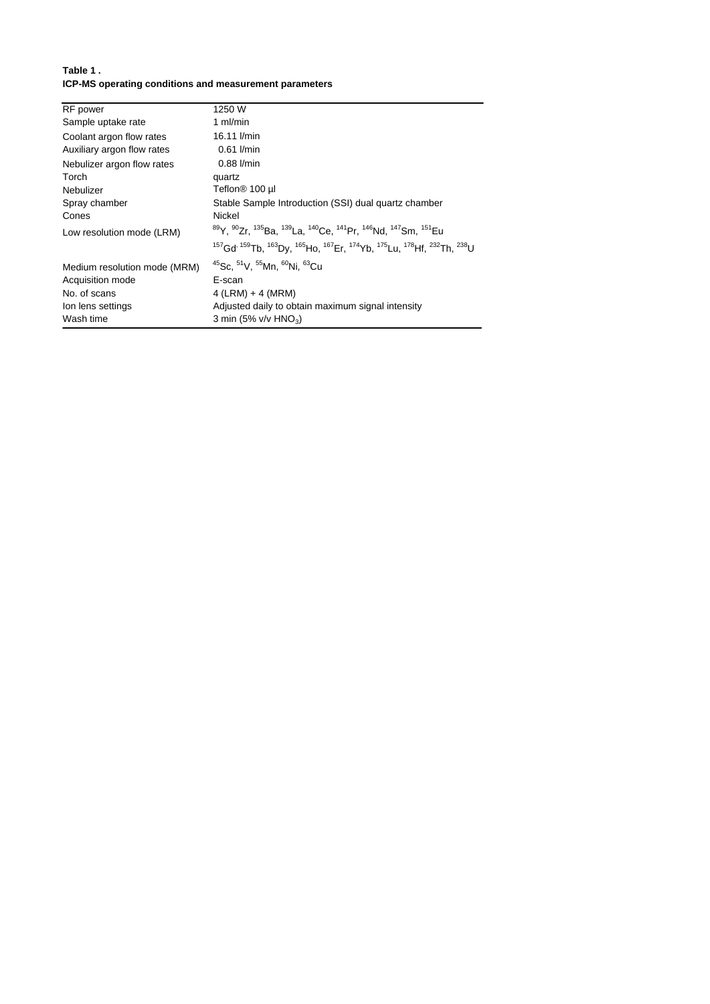#### **Table 1 . ICP-MS operating conditions and measurement parameters**

| <b>RF</b> power              | 1250 W                                                                                                                                                                                       |
|------------------------------|----------------------------------------------------------------------------------------------------------------------------------------------------------------------------------------------|
| Sample uptake rate           | 1 $ml/min$                                                                                                                                                                                   |
| Coolant argon flow rates     | 16.11 l/min                                                                                                                                                                                  |
| Auxiliary argon flow rates   | $0.61$ I/min                                                                                                                                                                                 |
| Nebulizer argon flow rates   | $0.88$ $l/min$                                                                                                                                                                               |
| Torch                        | quartz                                                                                                                                                                                       |
| Nebulizer                    | Teflon® 100 µl                                                                                                                                                                               |
| Spray chamber                | Stable Sample Introduction (SSI) dual quartz chamber                                                                                                                                         |
| Cones                        | Nickel                                                                                                                                                                                       |
| Low resolution mode (LRM)    | <sup>89</sup> Y, <sup>90</sup> Zr, <sup>135</sup> Ba, <sup>139</sup> La, <sup>140</sup> Ce, <sup>141</sup> Pr, <sup>146</sup> Nd, <sup>147</sup> Sm, <sup>151</sup> Eu                       |
|                              | <sup>157</sup> Gd <sup>, 159</sup> Tb, <sup>163</sup> Dy, <sup>165</sup> Ho, <sup>167</sup> Er, <sup>174</sup> Yb, <sup>175</sup> Lu, <sup>178</sup> Hf, <sup>232</sup> Th, <sup>238</sup> U |
| Medium resolution mode (MRM) | <sup>45</sup> Sc. <sup>51</sup> V. <sup>55</sup> Mn. <sup>60</sup> Ni. <sup>63</sup> Cu                                                                                                      |
| Acquisition mode             | E-scan                                                                                                                                                                                       |
| No. of scans                 | $4$ (LRM) + 4 (MRM)                                                                                                                                                                          |
| Ion lens settings            | Adjusted daily to obtain maximum signal intensity                                                                                                                                            |
| Wash time                    | 3 min (5% $v/v$ HNO <sub>3</sub> )                                                                                                                                                           |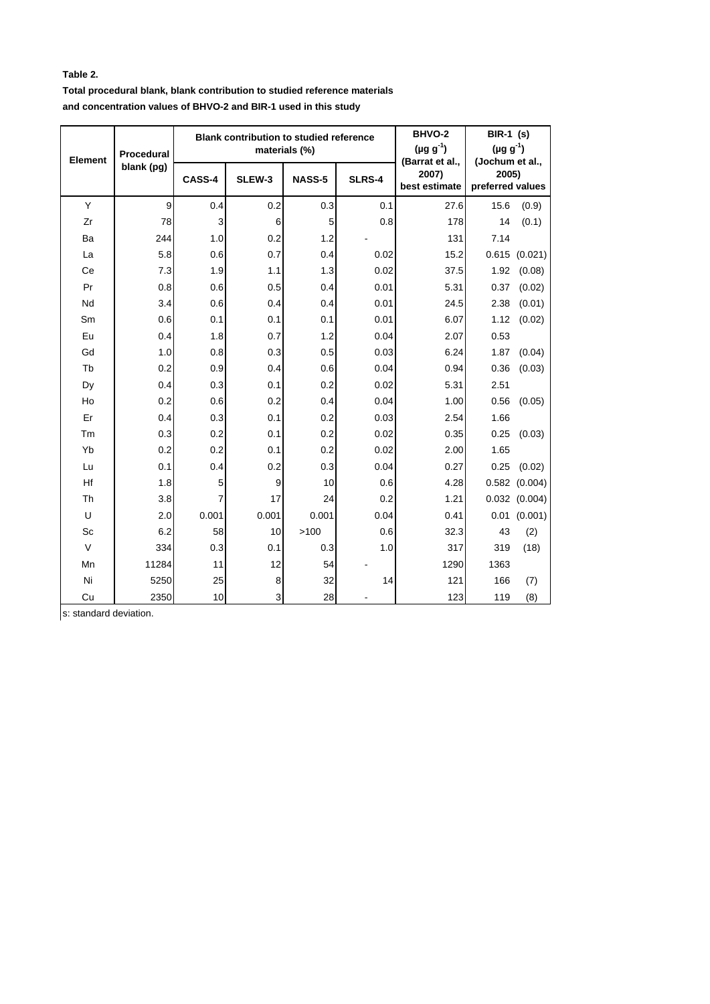#### **Table 2.**

**Total procedural blank, blank contribution to studied reference materials and concentration values of BHVO-2 and BIR-1 used in this study**

|                | Procedural<br>blank (pg) |        | <b>Blank contribution to studied reference</b> | materials (%) | BHVO-2<br>$(\mu g g^{-1})$ | <b>BIR-1 (s)</b><br>$(\mu g g^{-1})$      |                                              |                   |
|----------------|--------------------------|--------|------------------------------------------------|---------------|----------------------------|-------------------------------------------|----------------------------------------------|-------------------|
| <b>Element</b> |                          | CASS-4 | SLEW-3                                         | <b>NASS-5</b> | <b>SLRS-4</b>              | (Barrat et al.,<br>2007)<br>best estimate | (Jochum et al.,<br>2005)<br>preferred values |                   |
| Y              | 9                        | 0.4    | 0.2                                            | 0.3           | 0.1                        | 27.6                                      | 15.6                                         | (0.9)             |
| Zr             | 78                       | 3      | 6                                              | 5             | 0.8                        | 178                                       | 14                                           | (0.1)             |
| Ba             | 244                      | 1.0    | 0.2                                            | 1.2           |                            | 131                                       | 7.14                                         |                   |
| La             | 5.8                      | 0.6    | 0.7                                            | 0.4           | 0.02                       | 15.2                                      | 0.615                                        | (0.021)           |
| Ce             | 7.3                      | 1.9    | 1.1                                            | 1.3           | 0.02                       | 37.5                                      | 1.92                                         | (0.08)            |
| Pr             | 0.8                      | 0.6    | 0.5                                            | 0.4           | 0.01                       | 5.31                                      | 0.37                                         | (0.02)            |
| Nd             | 3.4                      | 0.6    | 0.4                                            | 0.4           | 0.01                       | 24.5                                      | 2.38                                         | (0.01)            |
| Sm             | 0.6                      | 0.1    | 0.1                                            | 0.1           | 0.01                       | 6.07                                      | 1.12                                         | (0.02)            |
| Eu             | 0.4                      | 1.8    | 0.7                                            | 1.2           | 0.04                       | 2.07                                      | 0.53                                         |                   |
| Gd             | 1.0                      | 0.8    | 0.3                                            | 0.5           | 0.03                       | 6.24                                      | 1.87                                         | (0.04)            |
| Tb             | 0.2                      | 0.9    | 0.4                                            | 0.6           | 0.04                       | 0.94                                      | 0.36                                         | (0.03)            |
| Dy             | 0.4                      | 0.3    | 0.1                                            | 0.2           | 0.02                       | 5.31                                      | 2.51                                         |                   |
| Ho             | 0.2                      | 0.6    | 0.2                                            | 0.4           | 0.04                       | 1.00                                      | 0.56                                         | (0.05)            |
| Er             | 0.4                      | 0.3    | 0.1                                            | 0.2           | 0.03                       | 2.54                                      | 1.66                                         |                   |
| Tm             | 0.3                      | 0.2    | 0.1                                            | 0.2           | 0.02                       | 0.35                                      | 0.25                                         | (0.03)            |
| Yb             | 0.2                      | 0.2    | 0.1                                            | 0.2           | 0.02                       | 2.00                                      | 1.65                                         |                   |
| Lu             | 0.1                      | 0.4    | 0.2                                            | 0.3           | 0.04                       | 0.27                                      | 0.25                                         | (0.02)            |
| Hf             | 1.8                      | 5      | 9                                              | 10            | 0.6                        | 4.28                                      | 0.582                                        | (0.004)           |
| Th             | 3.8                      | 7      | 17                                             | 24            | 0.2                        | 1.21                                      |                                              | $0.032$ $(0.004)$ |
| U              | 2.0                      | 0.001  | 0.001                                          | 0.001         | 0.04                       | 0.41                                      |                                              | $0.01$ $(0.001)$  |
| Sc             | 6.2                      | 58     | 10                                             | >100          | 0.6                        | 32.3                                      | 43                                           | (2)               |
| $\vee$         | 334                      | 0.3    | 0.1                                            | 0.3           | 1.0                        | 317                                       | 319                                          | (18)              |
| Mn             | 11284                    | 11     | 12                                             | 54            |                            | 1290                                      | 1363                                         |                   |
| Ni             | 5250                     | 25     | 8                                              | 32            | 14                         | 121                                       | 166                                          | (7)               |
| Cu             | 2350                     | 10     | 3                                              | 28            |                            | 123                                       | 119                                          | (8)               |

s: standard deviation.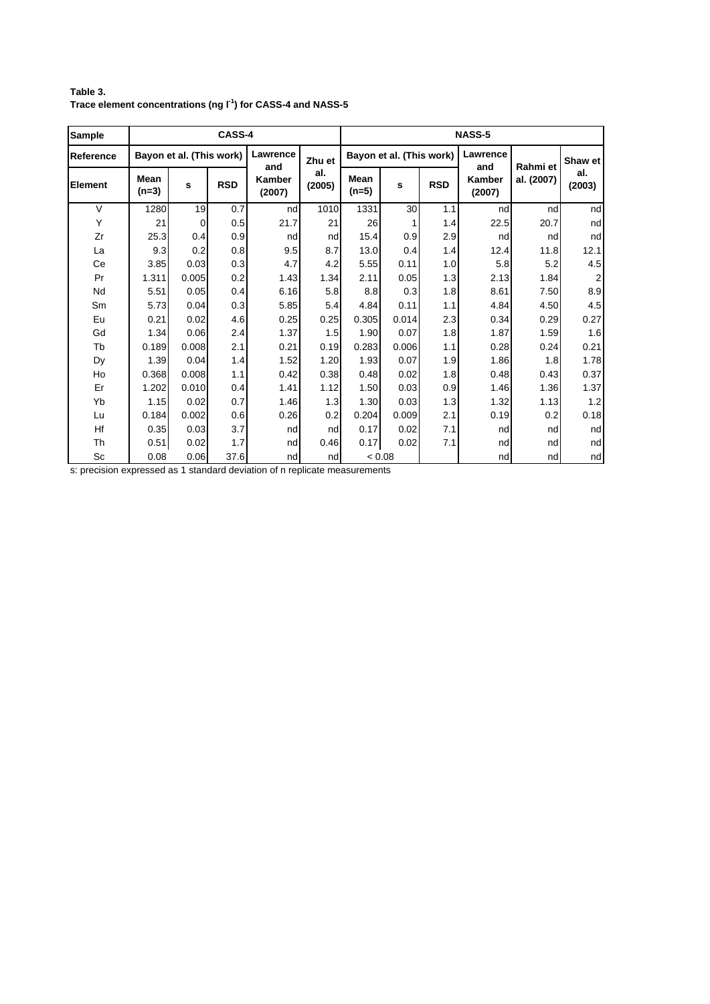| Sample         |                        |                          | CASS-4     |                         |               | <b>NASS-5</b>          |                          |            |                         |                        |                         |
|----------------|------------------------|--------------------------|------------|-------------------------|---------------|------------------------|--------------------------|------------|-------------------------|------------------------|-------------------------|
| Reference      |                        | Bayon et al. (This work) |            | Lawrence                | Zhu et        |                        | Bayon et al. (This work) |            | Lawrence                | Rahmi et<br>al. (2007) | Shaw et                 |
| <b>Element</b> | <b>Mean</b><br>$(n=3)$ | s                        | <b>RSD</b> | and<br>Kamber<br>(2007) | al.<br>(2005) | <b>Mean</b><br>$(n=5)$ | s                        | <b>RSD</b> | and<br>Kamber<br>(2007) |                        | al.<br>(2003)           |
| $\vee$         | 1280                   | 19                       | 0.7        | nd                      | 1010          | 1331                   | 30                       | 1.1        | nd                      | nd                     | nd                      |
| Υ              | 21                     | 0                        | 0.5        | 21.7                    | 21            | 26                     | 1                        | 1.4        | 22.5                    | 20.7                   | nd                      |
| Zr             | 25.3                   | 0.4                      | 0.9        | nd                      | nd            | 15.4                   | 0.9                      | 2.9        | nd                      | nd                     | nd                      |
| La             | 9.3                    | 0.2                      | 0.8        | 9.5                     | 8.7           | 13.0                   | 0.4                      | 1.4        | 12.4                    | 11.8                   | 12.1                    |
| Ce             | 3.85                   | 0.03                     | 0.3        | 4.7                     | 4.2           | 5.55                   | 0.11                     | 1.0        | 5.8                     | 5.2                    | 4.5                     |
| Pr             | 1.311                  | 0.005                    | 0.2        | 1.43                    | 1.34          | 2.11                   | 0.05                     | 1.3        | 2.13                    | 1.84                   | $\overline{\mathbf{c}}$ |
| Nd             | 5.51                   | 0.05                     | 0.4        | 6.16                    | 5.8           | 8.8                    | 0.3                      | 1.8        | 8.61                    | 7.50                   | 8.9                     |
| Sm             | 5.73                   | 0.04                     | 0.3        | 5.85                    | 5.4           | 4.84                   | 0.11                     | 1.1        | 4.84                    | 4.50                   | 4.5                     |
| Eu             | 0.21                   | 0.02                     | 4.6        | 0.25                    | 0.25          | 0.305                  | 0.014                    | 2.3        | 0.34                    | 0.29                   | 0.27                    |
| Gd             | 1.34                   | 0.06                     | 2.4        | 1.37                    | 1.5           | 1.90                   | 0.07                     | 1.8        | 1.87                    | 1.59                   | 1.6                     |
| Tb             | 0.189                  | 0.008                    | 2.1        | 0.21                    | 0.19          | 0.283                  | 0.006                    | 1.1        | 0.28                    | 0.24                   | 0.21                    |
| Dy             | 1.39                   | 0.04                     | 1.4        | 1.52                    | 1.20          | 1.93                   | 0.07                     | 1.9        | 1.86                    | 1.8                    | 1.78                    |
| Ho             | 0.368                  | 0.008                    | 1.1        | 0.42                    | 0.38          | 0.48                   | 0.02                     | 1.8        | 0.48                    | 0.43                   | 0.37                    |
| Er             | 1.202                  | 0.010                    | 0.4        | 1.41                    | 1.12          | 1.50                   | 0.03                     | 0.9        | 1.46                    | 1.36                   | 1.37                    |
| Yb             | 1.15                   | 0.02                     | 0.7        | 1.46                    | 1.3           | 1.30                   | 0.03                     | 1.3        | 1.32                    | 1.13                   | 1.2                     |
| Lu             | 0.184                  | 0.002                    | 0.6        | 0.26                    | 0.2           | 0.204                  | 0.009                    | 2.1        | 0.19                    | 0.2                    | 0.18                    |
| Hf             | 0.35                   | 0.03                     | 3.7        | nd                      | nd            | 0.17                   | 0.02                     | 7.1        | nd                      | nd                     | nd                      |
| Th             | 0.51                   | 0.02                     | 1.7        | nd                      | 0.46          | 0.17                   | 0.02                     | 7.1        | nd                      | nd                     | nd                      |
| Sc             | 0.08                   | 0.06                     | 37.6       | nd                      | nd            |                        | < 0.08                   |            | nd                      | nd                     | nd                      |

**Table 3. Trace element concentrations (ng l-1 ) for CASS-4 and NASS-5**

s: precision expressed as 1 standard deviation of n replicate measurements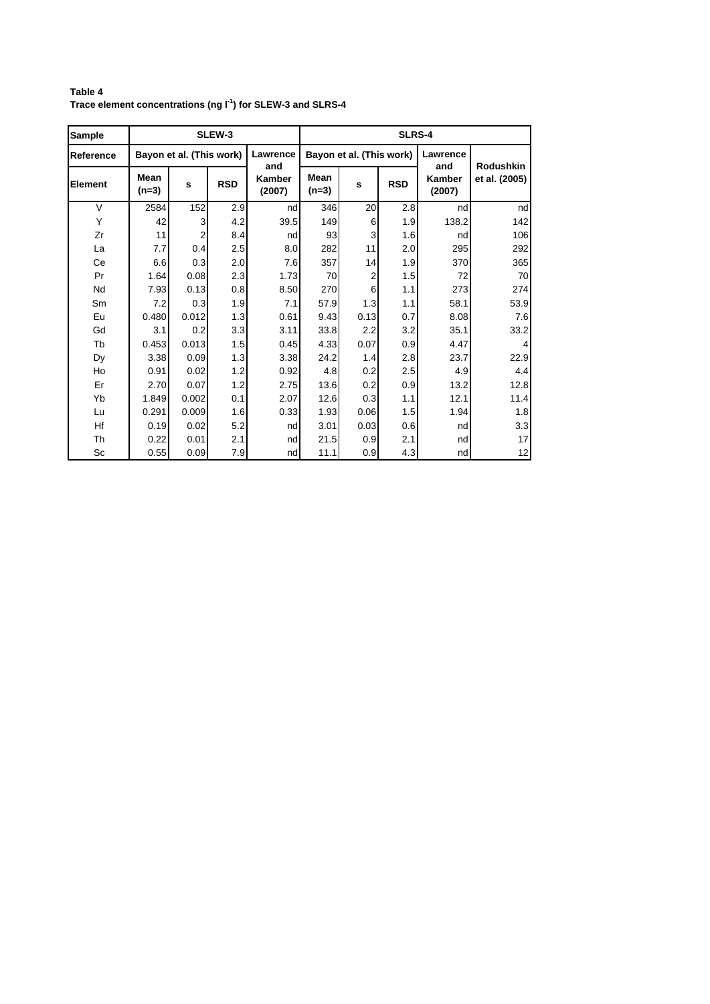**Table 4 Trace element concentrations (ng l-1 ) for SLEW-3 and SLRS-4**

| Sample    |                          |       | SLEW-3     |                         | <b>SLRS-4</b>          |                          |            |                                |                                   |  |  |
|-----------|--------------------------|-------|------------|-------------------------|------------------------|--------------------------|------------|--------------------------------|-----------------------------------|--|--|
| Reference | Bayon et al. (This work) |       |            | Lawrence                |                        | Bayon et al. (This work) |            | Lawrence                       |                                   |  |  |
| Element   | Mean<br>$(n=3)$          | s     | <b>RSD</b> | and<br>Kamber<br>(2007) | <b>Mean</b><br>$(n=3)$ | s                        | <b>RSD</b> | and<br><b>Kamber</b><br>(2007) | <b>Rodushkin</b><br>et al. (2005) |  |  |
| $\vee$    | 2584                     | 152   | 2.9        | nd                      | 346                    | 20                       | 2.8        | nd                             | nd                                |  |  |
| Y         | 42                       | 3     | 4.2        | 39.5                    | 149                    | 6                        | 1.9        | 138.2                          | 142                               |  |  |
| Zr        | 11                       | 2     | 8.4        | nd                      | 93                     | 3                        | 1.6        | nd                             | 106                               |  |  |
| La        | 7.7                      | 0.4   | 2.5        | 8.0                     | 282                    | 11                       | 2.0        | 295                            | 292                               |  |  |
| Ce        | 6.6                      | 0.3   | 2.0        | 7.6                     | 357                    | 14                       | 1.9        | 370                            | 365                               |  |  |
| Pr        | 1.64                     | 0.08  | 2.3        | 1.73                    | 70                     | $\overline{2}$           | 1.5        | 72                             | 70                                |  |  |
| Nd        | 7.93                     | 0.13  | 0.8        | 8.50                    | 270                    | 6                        | 1.1        | 273                            | 274                               |  |  |
| Sm        | 7.2                      | 0.3   | 1.9        | 7.1                     | 57.9                   | 1.3                      | 1.1        | 58.1                           | 53.9                              |  |  |
| Eu        | 0.480                    | 0.012 | 1.3        | 0.61                    | 9.43                   | 0.13                     | 0.7        | 8.08                           | 7.6                               |  |  |
| Gd        | 3.1                      | 0.2   | 3.3        | 3.11                    | 33.8                   | 2.2                      | 3.2        | 35.1                           | 33.2                              |  |  |
| Tb        | 0.453                    | 0.013 | 1.5        | 0.45                    | 4.33                   | 0.07                     | 0.9        | 4.47                           | 4                                 |  |  |
| Dy        | 3.38                     | 0.09  | 1.3        | 3.38                    | 24.2                   | 1.4                      | 2.8        | 23.7                           | 22.9                              |  |  |
| Ho        | 0.91                     | 0.02  | 1.2        | 0.92                    | 4.8                    | 0.2                      | 2.5        | 4.9                            | 4.4                               |  |  |
| Er        | 2.70                     | 0.07  | 1.2        | 2.75                    | 13.6                   | 0.2                      | 0.9        | 13.2                           | 12.8                              |  |  |
| Yb        | 1.849                    | 0.002 | 0.1        | 2.07                    | 12.6                   | 0.3                      | 1.1        | 12.1                           | 11.4                              |  |  |
| Lu        | 0.291                    | 0.009 | 1.6        | 0.33                    | 1.93                   | 0.06                     | 1.5        | 1.94                           | 1.8                               |  |  |
| Hf        | 0.19                     | 0.02  | 5.2        | nd                      | 3.01                   | 0.03                     | 0.6        | nd                             | 3.3                               |  |  |
| Th        | 0.22                     | 0.01  | 2.1        | nd                      | 21.5                   | 0.9                      | 2.1        | nd                             | 17                                |  |  |
| Sc        | 0.55                     | 0.09  | 7.9        | nd                      | 11.1                   | 0.9                      | 4.3        | nd                             | 12                                |  |  |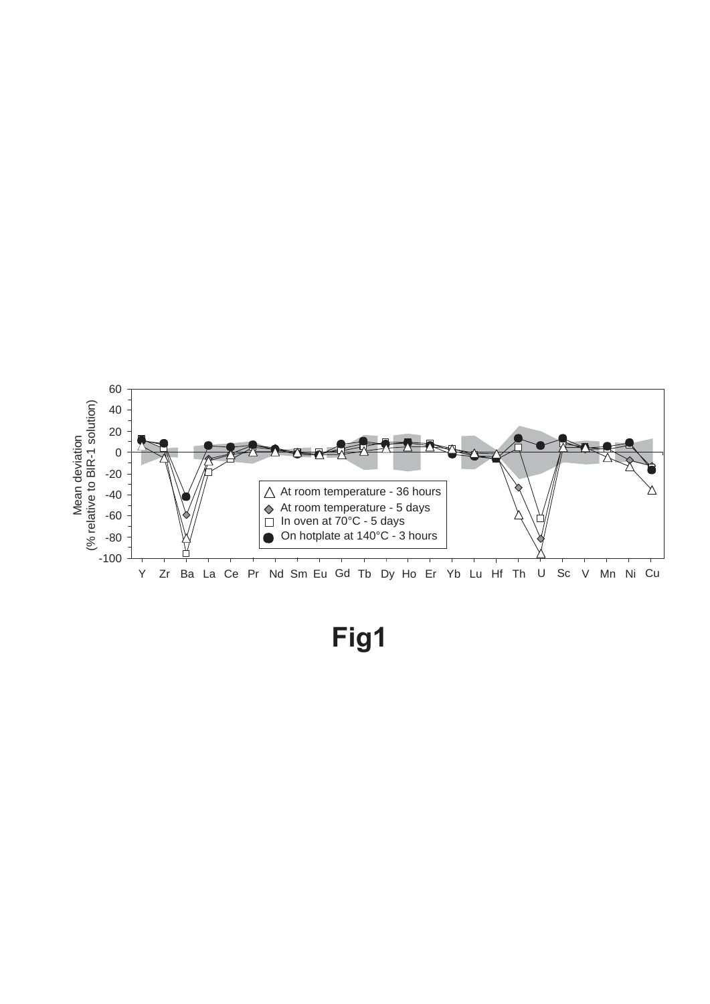

**Fig1**